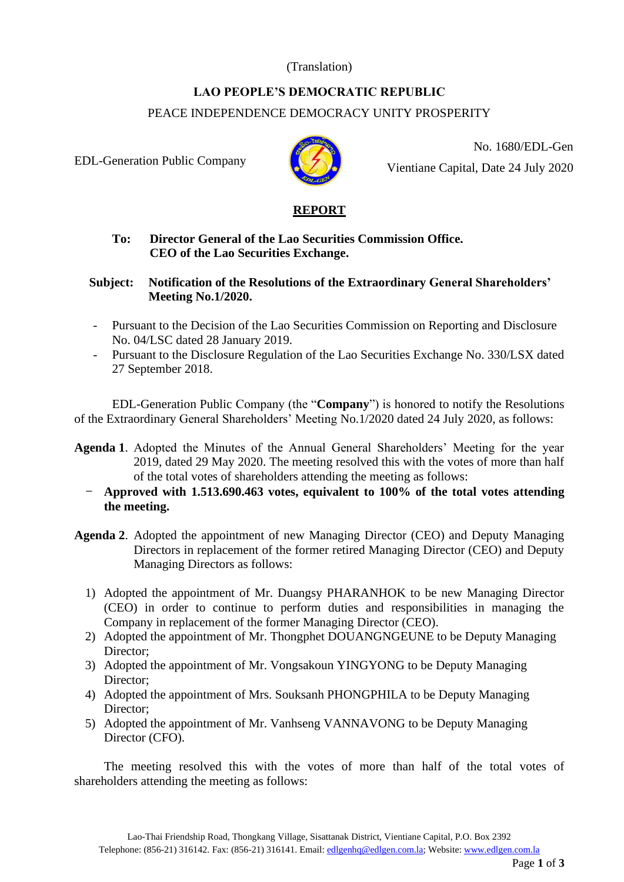## (Translation)

# **LAO PEOPLE'S DEMOCRATIC REPUBLIC**  PEACE INDEPENDENCE DEMOCRACY UNITY PROSPERITY

EDL-Generation Public Company



No. 1680/EDL-Gen Vientiane Capital, Date 24 July 2020



### **To: Director General of the Lao Securities Commission Office. CEO of the Lao Securities Exchange.**

#### **Subject: Notification of the Resolutions of the Extraordinary General Shareholders' Meeting No.1/2020.**

- Pursuant to the Decision of the Lao Securities Commission on Reporting and Disclosure No. 04/LSC dated 28 January 2019.
- Pursuant to the Disclosure Regulation of the Lao Securities Exchange No. 330/LSX dated 27 September 2018.

EDL-Generation Public Company (the "**Company**") is honored to notify the Resolutions of the Extraordinary General Shareholders' Meeting No.1/2020 dated 24 July 2020, as follows:

- **Agenda 1**. Adopted the Minutes of the Annual General Shareholders' Meeting for the year 2019, dated 29 May 2020. The meeting resolved this with the votes of more than half of the total votes of shareholders attending the meeting as follows:
	- **Approved with 1.513.690.463 votes, equivalent to 100% of the total votes attending the meeting.**
- **Agenda 2**. Adopted the appointment of new Managing Director (CEO) and Deputy Managing Directors in replacement of the former retired Managing Director (CEO) and Deputy Managing Directors as follows:
	- 1) Adopted the appointment of Mr. Duangsy PHARANHOK to be new Managing Director (CEO) in order to continue to perform duties and responsibilities in managing the Company in replacement of the former Managing Director (CEO).
	- 2) Adopted the appointment of Mr. Thongphet DOUANGNGEUNE to be Deputy Managing Director;
	- 3) Adopted the appointment of Mr. Vongsakoun YINGYONG to be Deputy Managing Director;
	- 4) Adopted the appointment of Mrs. Souksanh PHONGPHILA to be Deputy Managing Director;
	- 5) Adopted the appointment of Mr. Vanhseng VANNAVONG to be Deputy Managing Director (CFO).

The meeting resolved this with the votes of more than half of the total votes of shareholders attending the meeting as follows: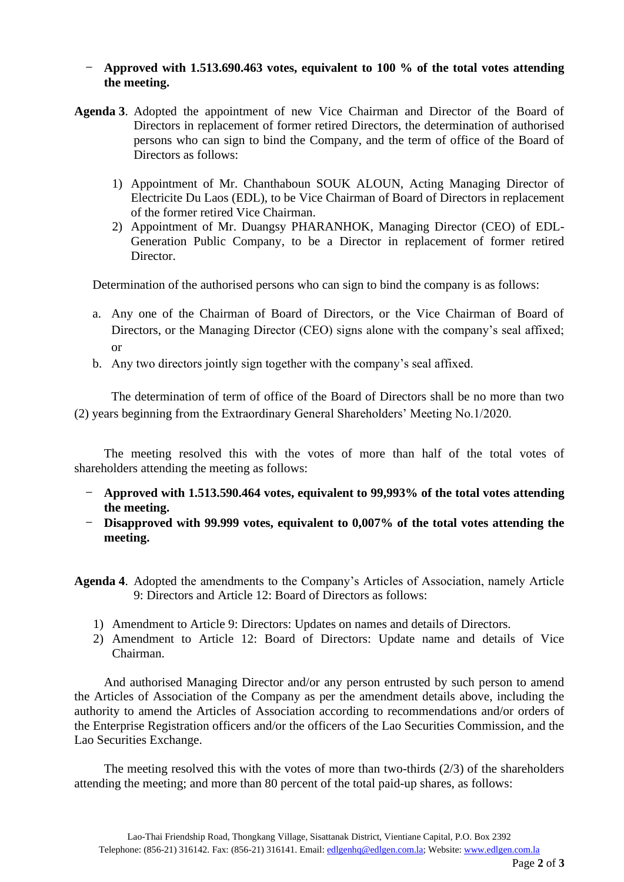#### - **Approved with 1.513.690.463 votes, equivalent to 100 % of the total votes attending the meeting.**

- **Agenda 3**. Adopted the appointment of new Vice Chairman and Director of the Board of Directors in replacement of former retired Directors, the determination of authorised persons who can sign to bind the Company, and the term of office of the Board of Directors as follows:
	- 1) Appointment of Mr. Chanthaboun SOUK ALOUN, Acting Managing Director of Electricite Du Laos (EDL), to be Vice Chairman of Board of Directors in replacement of the former retired Vice Chairman.
	- 2) Appointment of Mr. Duangsy PHARANHOK, Managing Director (CEO) of EDL-Generation Public Company, to be a Director in replacement of former retired Director.

Determination of the authorised persons who can sign to bind the company is as follows:

- a. Any one of the Chairman of Board of Directors, or the Vice Chairman of Board of Directors, or the Managing Director (CEO) signs alone with the company's seal affixed; or
- b. Any two directors jointly sign together with the company's seal affixed.

The determination of term of office of the Board of Directors shall be no more than two (2) years beginning from the Extraordinary General Shareholders' Meeting No.1/2020.

The meeting resolved this with the votes of more than half of the total votes of shareholders attending the meeting as follows:

- **Approved with 1.513.590.464 votes, equivalent to 99,993% of the total votes attending the meeting.**
- **Disapproved with 99.999 votes, equivalent to 0,007% of the total votes attending the meeting.**

**Agenda 4**. Adopted the amendments to the Company's Articles of Association, namely Article 9: Directors and Article 12: Board of Directors as follows:

- 1) Amendment to Article 9: Directors: Updates on names and details of Directors.
- 2) Amendment to Article 12: Board of Directors: Update name and details of Vice Chairman.

And authorised Managing Director and/or any person entrusted by such person to amend the Articles of Association of the Company as per the amendment details above, including the authority to amend the Articles of Association according to recommendations and/or orders of the Enterprise Registration officers and/or the officers of the Lao Securities Commission, and the Lao Securities Exchange.

The meeting resolved this with the votes of more than two-thirds (2/3) of the shareholders attending the meeting; and more than 80 percent of the total paid-up shares, as follows: